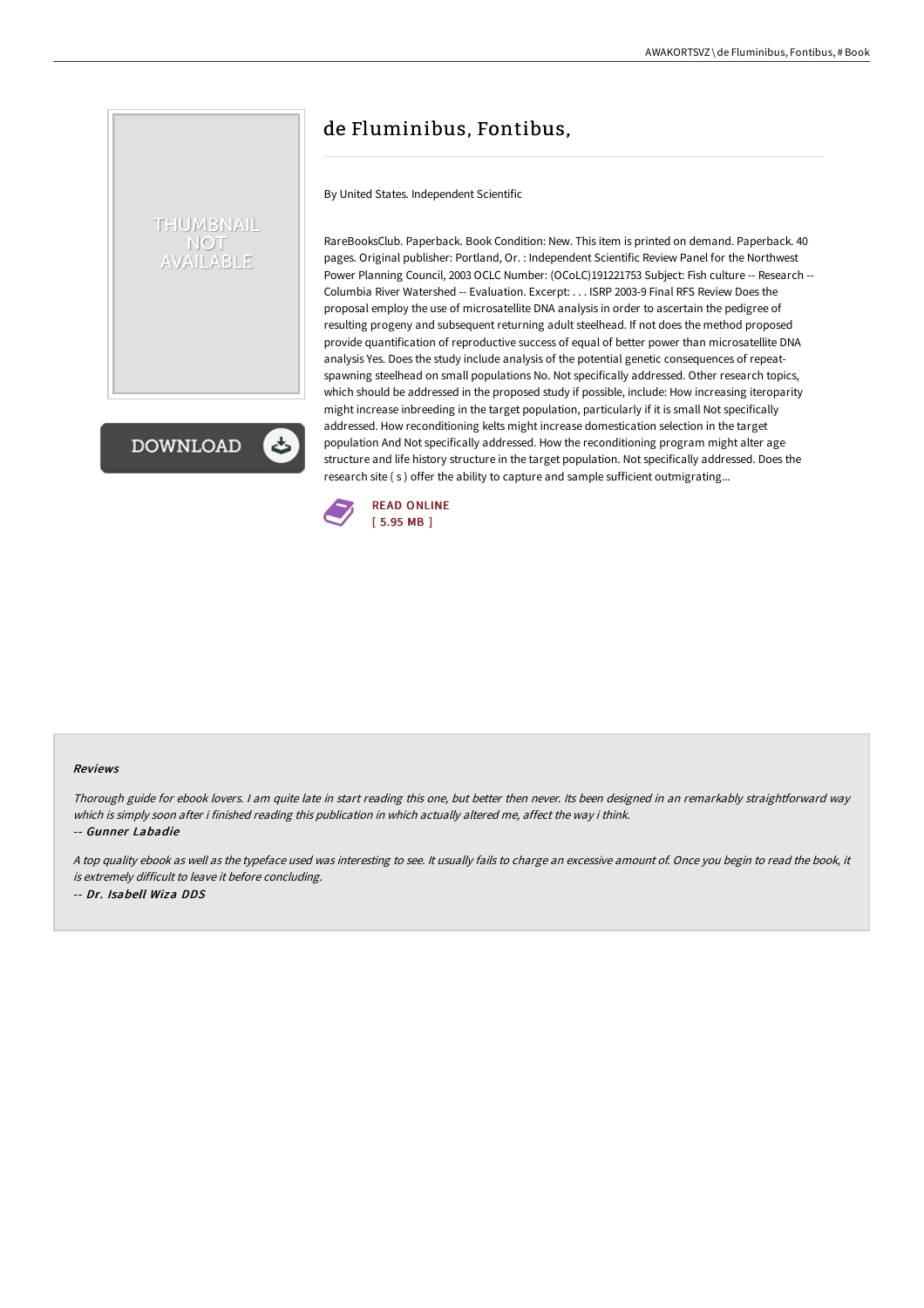## THUMBNAIL **NOT AILABLE**

**DOWNLOAD** 

## de Fluminibus, Fontibus,

By United States. Independent Scientific

RareBooksClub. Paperback. Book Condition: New. This item is printed on demand. Paperback. 40 pages. Original publisher: Portland, Or. : Independent Scientific Review Panel for the Northwest Power Planning Council, 2003 OCLC Number: (OCoLC)191221753 Subject: Fish culture -- Research -- Columbia River Watershed -- Evaluation. Excerpt: . . . ISRP 2003-9 Final RFS Review Does the proposal employ the use of microsatellite DNA analysis in order to ascertain the pedigree of resulting progeny and subsequent returning adult steelhead. If not does the method proposed provide quantification of reproductive success of equal of better power than microsatellite DNA analysis Yes. Does the study include analysis of the potential genetic consequences of repeatspawning steelhead on small populations No. Not specifically addressed. Other research topics, which should be addressed in the proposed study if possible, include: How increasing iteroparity might increase inbreeding in the target population, particularly if it is small Not specifically addressed. How reconditioning kelts might increase domestication selection in the target population And Not specifically addressed. How the reconditioning program might alter age structure and life history structure in the target population. Not specifically addressed. Does the research site ( s ) offer the ability to capture and sample sufficient outmigrating...



## Reviews

Thorough guide for ebook lovers. <sup>I</sup> am quite late in start reading this one, but better then never. Its been designed in an remarkably straightforward way which is simply soon after i finished reading this publication in which actually altered me, affect the way i think.

-- Gunner Labadie

<sup>A</sup> top quality ebook as well as the typeface used was interesting to see. It usually fails to charge an excessive amount of. Once you begin to read the book, it is extremely difficult to leave it before concluding.

-- Dr. Isabell Wiza DDS